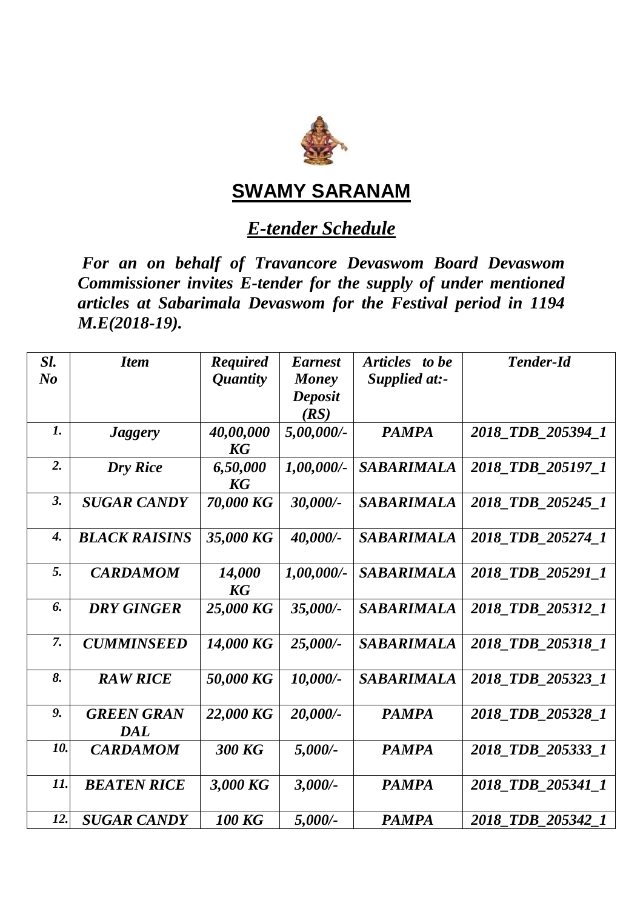

## **SWAMY SARANAM**

## *E-tender Schedule*

*For an on behalf of Travancore Devaswom Board Devaswom Commissioner invites E-tender for the supply of under mentioned articles at Sabarimala Devaswom for the Festival period in 1194 M.E(2018-19).*

| Sl.<br>$N_{0}$     | <b>Item</b>              | <b>Required</b><br><i><b>Quantity</b></i> | <b>Earnest</b><br>Money<br>Deposit<br>(RS) | Articles to be<br>Supplied at:- | <b>Tender-Id</b>  |
|--------------------|--------------------------|-------------------------------------------|--------------------------------------------|---------------------------------|-------------------|
| $\boldsymbol{l}$ . | <i>Jaggery</i>           | 40,00,000<br><b>KG</b>                    | 5,00,000/-                                 | <b>PAMPA</b>                    | 2018 TDB 205394 1 |
| 2.                 | <b>Dry Rice</b>          | 6,50,000<br><b>KG</b>                     | $1,00,000/$ -                              | <b>SABARIMALA</b>               | 2018_TDB_205197_1 |
| 3.                 | <b>SUGAR CANDY</b>       | 70,000 KG                                 | 30,000/-                                   | <b>SABARIMALA</b>               | 2018 TDB 205245 1 |
| $\boldsymbol{4}$ . | <b>BLACK RAISINS</b>     | 35,000 KG                                 | 40,000/-                                   | <b>SABARIMALA</b>               | 2018 TDB 205274 1 |
| 5.                 | <b>CARDAMOM</b>          | 14,000<br>KG                              | $1,00,000/$ -                              | <b>SABARIMALA</b>               | 2018 TDB 205291 1 |
| 6.                 | <b>DRY GINGER</b>        | 25,000 KG                                 | 35,000/-                                   | <b>SABARIMALA</b>               | 2018 TDB 205312 1 |
| 7.                 | <b>CUMMINSEED</b>        | 14,000 KG                                 | 25,000/-                                   | <b>SABARIMALA</b>               | 2018_TDB_205318_1 |
| 8.                 | <b>RAW RICE</b>          | 50,000 KG                                 | 10,000/-                                   | <b>SABARIMALA</b>               | 2018_TDB_205323_1 |
| 9.                 | <b>GREEN GRAN</b><br>DAL | 22,000 KG                                 | 20,000/-                                   | <b>PAMPA</b>                    | 2018 TDB 205328 1 |
| 10.                | <b>CARDAMOM</b>          | <b>300 KG</b>                             | $5,000/$ -                                 | <b>PAMPA</b>                    | 2018_TDB_205333_1 |
| 11.                | <b>BEATEN RICE</b>       | 3,000 KG                                  | $3,000/$ -                                 | <b>PAMPA</b>                    | 2018 TDB 205341 1 |
| 12.                | <b>SUGAR CANDY</b>       | <b>100 KG</b>                             | $5,000/$ -                                 | <b>PAMPA</b>                    | 2018 TDB 205342 1 |